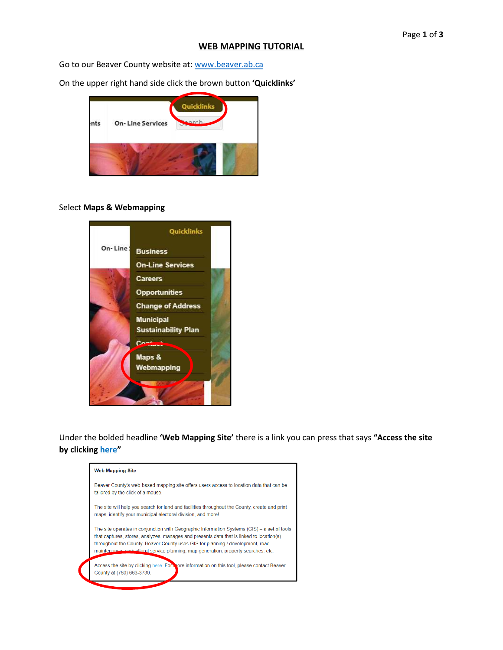#### **WEB MAPPING TUTORIAL**

Go to our Beaver County website at: www.beaver.ab.ca

On the upper right hand side click the brown button **'Quicklinks'** 



#### Select **Maps & Webmapping**



Under the bolded headline **'Web Mapping Site'** there is a link you can press that says **"Access the site by clicking here"** 

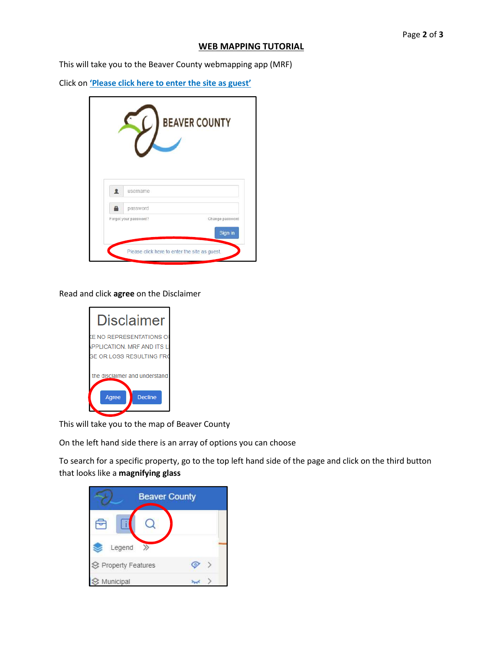### **WEB MAPPING TUTORIAL**

This will take you to the Beaver County webmapping app (MRF)

Click on **'Please click here to enter the site as guest'**

| username<br>password | Forgot your password?<br>Change password<br>Sign in |  | <b>BEAVER COUNTY</b> |
|----------------------|-----------------------------------------------------|--|----------------------|
|                      |                                                     |  |                      |
|                      |                                                     |  |                      |

Read and click **agree** on the Disclaimer

| Disclaimer                                               |  |  |  |  |
|----------------------------------------------------------|--|--|--|--|
| <b>E NO REPRESENTATIONS OF</b>                           |  |  |  |  |
| PPLICATION. MRF AND ITS L                                |  |  |  |  |
| <b>GE OR LOSS RESULTING FRO</b>                          |  |  |  |  |
| the disclaimer and understand<br><b>Decline</b><br>Aaree |  |  |  |  |

This will take you to the map of Beaver County

On the left hand side there is an array of options you can choose

To search for a specific property, go to the top left hand side of the page and click on the third button that looks like a **magnifying glass** 

| <b>Beaver County</b>       |  |
|----------------------------|--|
|                            |  |
| Legend                     |  |
| <b>S</b> Property Features |  |
| Municipal                  |  |